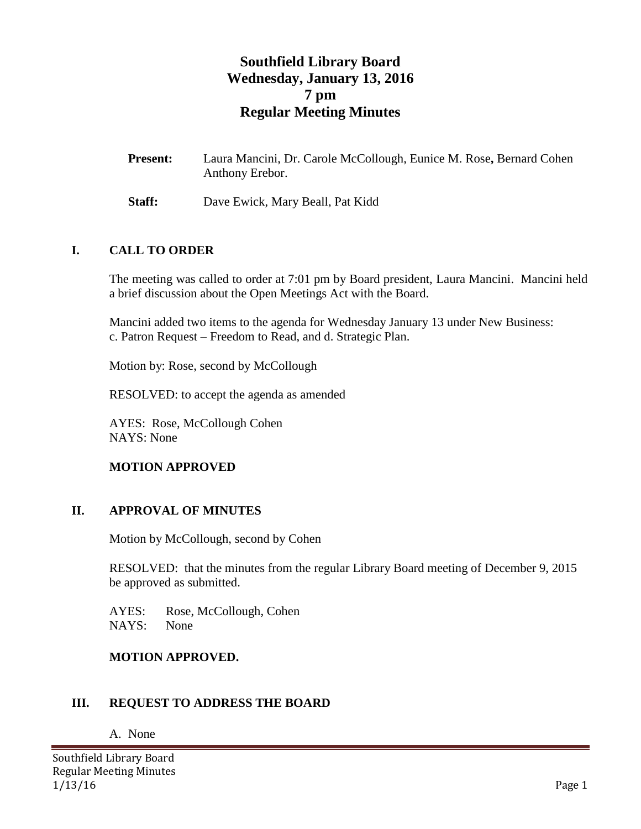# **Southfield Library Board Wednesday, January 13, 2016 7 pm Regular Meeting Minutes**

- **Present:** Laura Mancini, Dr. Carole McCollough, Eunice M. Rose**,** Bernard Cohen Anthony Erebor.
- **Staff:** Dave Ewick, Mary Beall, Pat Kidd

#### **I. CALL TO ORDER**

The meeting was called to order at 7:01 pm by Board president, Laura Mancini. Mancini held a brief discussion about the Open Meetings Act with the Board.

Mancini added two items to the agenda for Wednesday January 13 under New Business: c. Patron Request – Freedom to Read, and d. Strategic Plan.

Motion by: Rose, second by McCollough

RESOLVED: to accept the agenda as amended

AYES: Rose, McCollough Cohen NAYS: None

### **MOTION APPROVED**

#### **II. APPROVAL OF MINUTES**

Motion by McCollough, second by Cohen

RESOLVED: that the minutes from the regular Library Board meeting of December 9, 2015 be approved as submitted.

AYES: Rose, McCollough, Cohen NAYS: None

#### **MOTION APPROVED.**

#### **III. REQUEST TO ADDRESS THE BOARD**

A. None

Southfield Library Board Regular Meeting Minutes 1/13/16 Page 1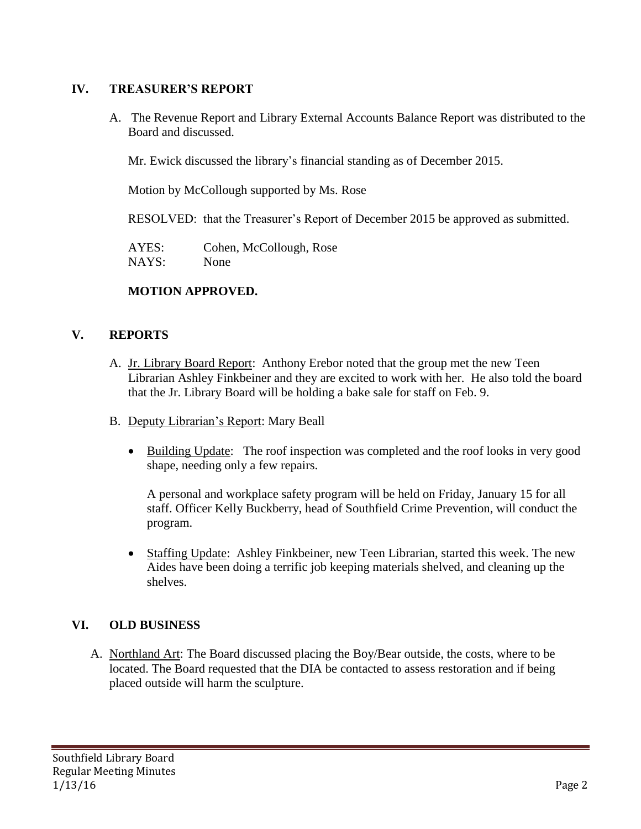# **IV. TREASURER'S REPORT**

A. The Revenue Report and Library External Accounts Balance Report was distributed to the Board and discussed.

Mr. Ewick discussed the library's financial standing as of December 2015.

Motion by McCollough supported by Ms. Rose

RESOLVED: that the Treasurer's Report of December 2015 be approved as submitted.

AYES: Cohen, McCollough, Rose NAYS: None

# **MOTION APPROVED.**

# **V. REPORTS**

- A. Jr. Library Board Report: Anthony Erebor noted that the group met the new Teen Librarian Ashley Finkbeiner and they are excited to work with her. He also told the board that the Jr. Library Board will be holding a bake sale for staff on Feb. 9.
- B. Deputy Librarian's Report: Mary Beall
	- Building Update: The roof inspection was completed and the roof looks in very good shape, needing only a few repairs.

A personal and workplace safety program will be held on Friday, January 15 for all staff. Officer Kelly Buckberry, head of Southfield Crime Prevention, will conduct the program.

 Staffing Update: Ashley Finkbeiner, new Teen Librarian, started this week. The new Aides have been doing a terrific job keeping materials shelved, and cleaning up the shelves.

# **VI. OLD BUSINESS**

A. Northland Art: The Board discussed placing the Boy/Bear outside, the costs, where to be located. The Board requested that the DIA be contacted to assess restoration and if being placed outside will harm the sculpture.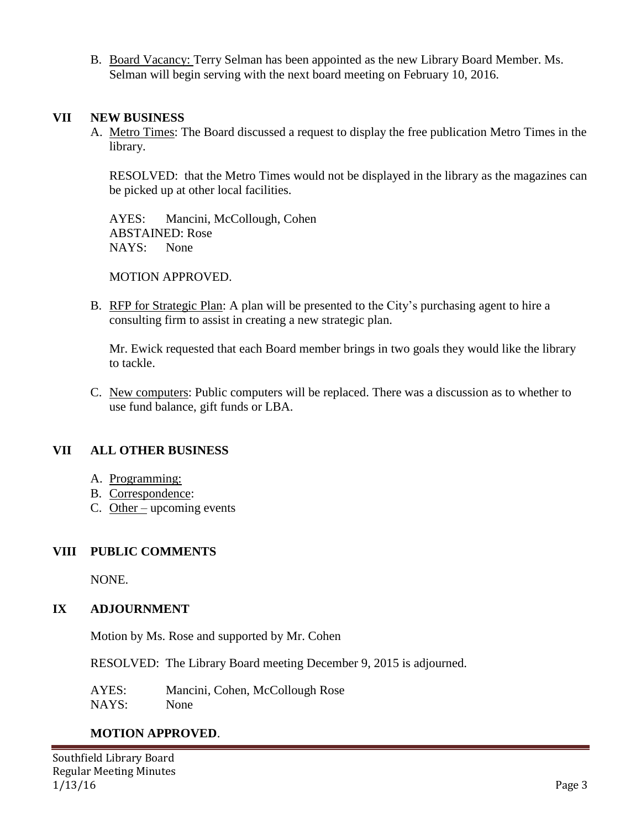B. Board Vacancy: Terry Selman has been appointed as the new Library Board Member. Ms. Selman will begin serving with the next board meeting on February 10, 2016.

### **VII NEW BUSINESS**

A. Metro Times: The Board discussed a request to display the free publication Metro Times in the library.

RESOLVED: that the Metro Times would not be displayed in the library as the magazines can be picked up at other local facilities.

AYES: Mancini, McCollough, Cohen ABSTAINED: Rose NAYS: None

MOTION APPROVED.

B. RFP for Strategic Plan: A plan will be presented to the City's purchasing agent to hire a consulting firm to assist in creating a new strategic plan.

Mr. Ewick requested that each Board member brings in two goals they would like the library to tackle.

C. New computers: Public computers will be replaced. There was a discussion as to whether to use fund balance, gift funds or LBA.

# **VII ALL OTHER BUSINESS**

- A. Programming:
- B. Correspondence:
- C. Other upcoming events

### **VIII PUBLIC COMMENTS**

NONE.

### **IX ADJOURNMENT**

Motion by Ms. Rose and supported by Mr. Cohen

RESOLVED: The Library Board meeting December 9, 2015 is adjourned.

AYES: Mancini, Cohen, McCollough Rose

NAYS: None

# **MOTION APPROVED**.